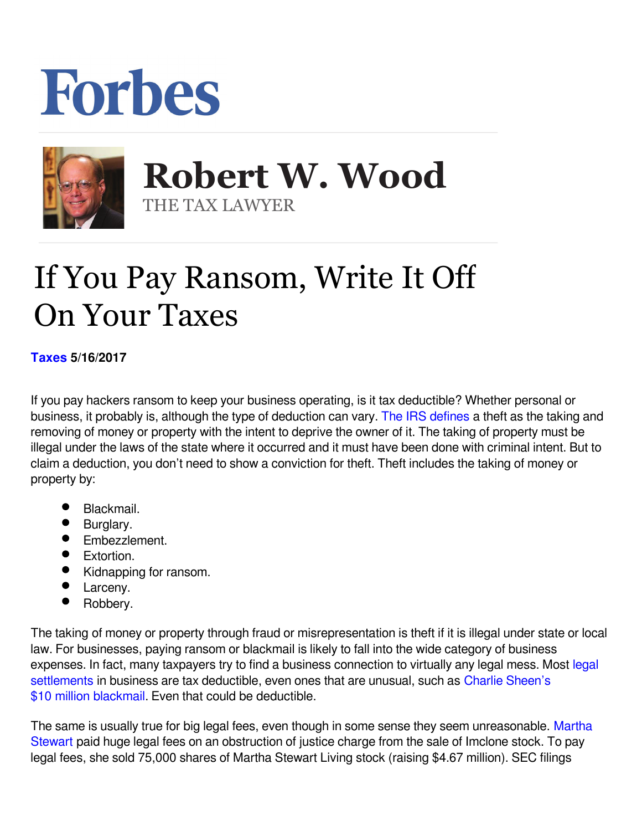## Forbes



 **Robert W. Wood** THE TAX LAWYER

## If You Pay Ransom, Write It Off On Your Taxes

**[Taxes](https://www.forbes.com/taxes) 5/16/2017** 

If you pay hackers ransom to keep your business operating, is it tax deductible? Whether personal or business, it probably is, although the type of deduction can vary. [The IRS defines](http://www.irs.gov/publications/p17/ch25.html#en_US_2011_publink1000173531) a theft as the taking and removing of money or property with the intent to deprive the owner of it. The taking of property must be illegal under the laws of the state where it occurred and it must have been done with criminal intent. But to claim a deduction, you don't need to show a conviction for theft. Theft includes the taking of money or property by:

- Blackmail.
- Burglary.
- **•** Embezzlement.
- Extortion.
- Kidnapping for ransom.
- Larceny.
- Robbery.

The taking of money or property through fraud or misrepresentation is theft if it is illegal under state or local law. For businesses, paying ransom or blackmail is likely to fall into the wide category of business expenses. In fact, many taxpayers try to find a business connection to virtually any [legal](http://www.forbes.com/sites/robertwood/2015/07/06/10-things-to-know-about-taxes-on-legal-settlements/) mess. Most legal [settlements](http://www.forbes.com/sites/robertwood/2015/07/06/10-things-to-know-about-taxes-on-legal-settlements/) in business are tax deductible, even ones that are unusual, such as [Charlie Sheen's](http://www.forbes.com/sites/robertwood/2015/11/18/charlie-sheens-10m-blackmail-tax-deduction/) [\\$10 million blackmail.](http://www.forbes.com/sites/robertwood/2015/11/18/charlie-sheens-10m-blackmail-tax-deduction/) Even that could be deductible.

The same is usually true for big legal fees, even though in some sense they seem unreasonable. [Martha](http://www.nytimes.com/2004/06/12/business/martha-stewart-sells-shares-for-legal-fees.html) [Stewart](http://www.nytimes.com/2004/06/12/business/martha-stewart-sells-shares-for-legal-fees.html) paid huge legal fees on an obstruction of justice charge from the sale of Imclone stock. To pay legal fees, she sold 75,000 shares of Martha Stewart Living stock (raising \$4.67 million). SEC filings